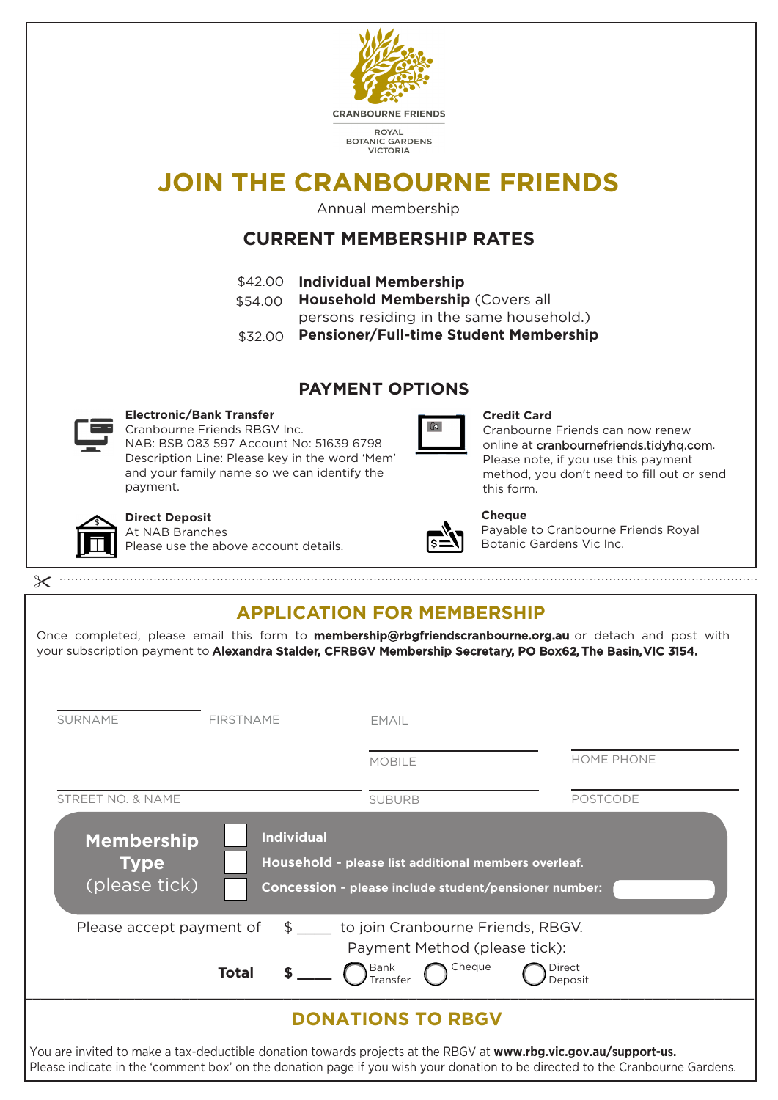

your subscription payment to Alexandra Stalder, CFRBGV Membership Secretary, PO Box62, The Basin, VIC 3154.

| <b>SURNAME</b>                                    | <b>FIRSTNAME</b>  | <b>EMAIL</b>                                                                                                  |                                                                                                                                                                                                                                                   |
|---------------------------------------------------|-------------------|---------------------------------------------------------------------------------------------------------------|---------------------------------------------------------------------------------------------------------------------------------------------------------------------------------------------------------------------------------------------------|
|                                                   |                   | <b>MOBILE</b>                                                                                                 | <b>HOME PHONE</b>                                                                                                                                                                                                                                 |
| <b>STREET NO. &amp; NAME</b>                      |                   | <b>SUBURB</b>                                                                                                 | <b>POSTCODE</b>                                                                                                                                                                                                                                   |
| <b>Membership</b><br><b>Type</b><br>(please tick) | <b>Individual</b> | Household - please list additional members overleaf.<br>Concession - please include student/pensioner number: |                                                                                                                                                                                                                                                   |
| Please accept payment of                          |                   | \$ ____ to join Cranbourne Friends, RBGV.<br>Payment Method (please tick):                                    |                                                                                                                                                                                                                                                   |
|                                                   | <b>Total</b>      | Cheque<br>Bank<br>Transfer                                                                                    | Direct<br>Deposit                                                                                                                                                                                                                                 |
|                                                   |                   | <b>DONATIONS TO RBGV</b>                                                                                      |                                                                                                                                                                                                                                                   |
|                                                   |                   |                                                                                                               | You are invited to make a tax-deductible donation towards projects at the RBGV at www.rbg.vic.gov.au/support-us.<br>Please indicate in the 'comment box' on the donation page if you wish your donation to be directed to the Cranbourne Gardens. |